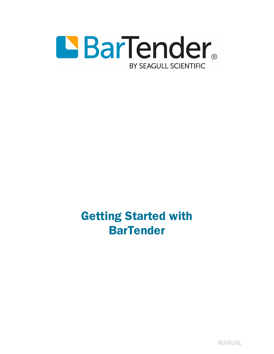

Getting Started with **BarTender** 

MANUAL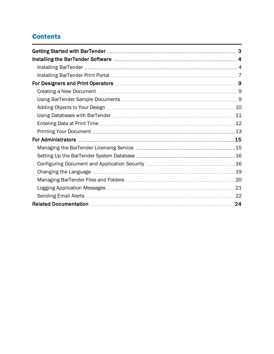# **Contents**

| .24 |
|-----|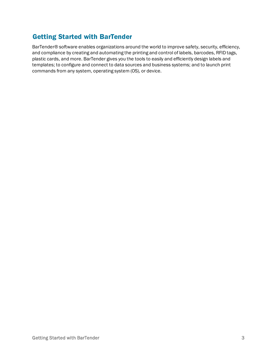# <span id="page-2-0"></span>Getting Started with BarTender

BarTender® software enables organizations around the world to improve safety, security, efficiency, and compliance by creating and automating the printing and control of labels, barcodes, RFID tags, plastic cards, and more. BarTender gives you the tools to easily and efficiently design labels and templates; to configure and connect to data sources and business systems; and to launch print commands from any system, operating system (OS), or device.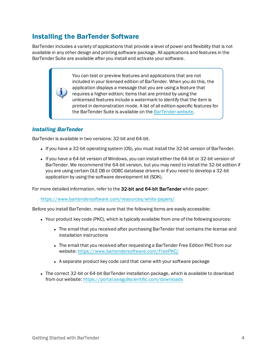# <span id="page-3-0"></span>Installing the BarTender Software

BarTender includes a variety of applications that provide a level of power and flexibility that is not available in any other design and printing software package. All applications and features in the BarTender Suite are available after you install and activate your software.

> You can test or preview features and applications that are not included in your licensed edition of BarTender. When you do this, the application displays a message that you are using a feature that requires a higher edition; items that are printed by using the unlicensed features include a watermark to identify that the item is printed in demonstration mode. A list of all edition-specific features for the [BarTender](https://www.bartendersoftware.com/software/compare/) Suite is available on the BarTender website.

# <span id="page-3-1"></span>*Installing BarTender*

BarTender is available in two versions: 32-bit and 64-bit.

- If you have a 32-bit operating system (OS), you must install the 32-bit version of BarTender.
- If you have a 64-bit version of Windows, you can install either the 64-bit or 32-bit version of BarTender. We recommend the 64-bit version, but you may need to install the 32-bit edition if you are using certain OLE DB or ODBC database drivers or if you need to develop a 32-bit application by using the software development kit (SDK).

For more detailed information, refer to the 32-bit and 64-bit BarTender white paper:

<https://www.bartendersoftware.com/resources/white-papers/>

Before you install BarTender, make sure that the following items are easily accessible:

- Your product key code (PKC), which is typically available from one of the following sources:
	- The email that you received after purchasing BarTender that contains the license and installation instructions
	- The email that you received after requesting a BarTender Free Edition PKC from our website:<https://www.bartendersoftware.com/FreePKC/>
	- A separate product key code card that came with your software package
- The correct 32-bit or 64-bit BarTender installation package, which is available to download from our website: <https://portal.seagullscientific.com/downloads>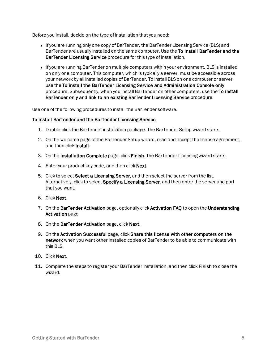Before you install, decide on the type of installation that you need:

- If you are running only one copy of BarTender, the BarTender Licensing Service (BLS) and BarTender are usually installed on the same computer. Use the To install BarTender and the BarTender Licensing Service procedure for this type of installation.
- If you are running BarTender on multiple computers within your environment, BLS is installed on only one computer. This computer, which is typically a server, must be accessible across your network by all installed copies of BarTender. To install BLS on one computer or server, use the To install the BarTender Licensing Service and Administration Console only procedure. Subsequently, when you install BarTender on other computers, use the To install BarTender only and link to an existing BarTender Licensing Service procedure.

Use one of the following procedures to install the BarTender software.

## To install BarTender and the BarTender Licensing Service

- 1. Double-click the BarTender installation package. The BarTender Setup wizard starts.
- 2. On the welcome page of the BarTender Setup wizard, read and accept the license agreement, and then click Install.
- 3. On the Installation Complete page, click Finish. The BarTender Licensing wizard starts.
- 4. Enter your product key code, and then click Next.
- 5. Click to select Select a Licensing Server, and then select the server from the list. Alternatively, click to select Specify a Licensing Server, and then enter the server and port that you want.
- 6. Click Next.
- 7. On the BarTender Activation page, optionally click Activation FAQ to open the Understanding Activation page.
- 8. On the BarTender Activation page, click Next.
- 9. On the Activation Successful page, click Share this license with other computers on the network when you want other installed copies of BarTender to be able to communicate with this BLS.
- 10. Click Next.
- 11. Complete the steps to register your BarTender installation, and then click Finish to close the wizard.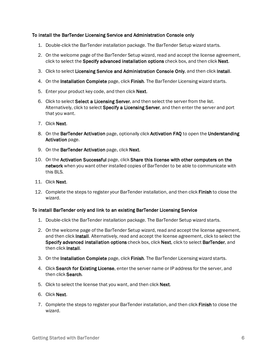### To install the BarTender Licensing Service and Administration Console only

- 1. Double-click the BarTender installation package. The BarTender Setup wizard starts.
- 2. On the welcome page of the BarTender Setup wizard, read and accept the license agreement, click to select the Specify advanced installation options check box, and then click Next.
- 3. Click to select Licensing Service and Administration Console Only, and then click Install.
- 4. On the Installation Complete page, click Finish. The BarTender Licensing wizard starts.
- 5. Enter your product key code, and then click Next.
- 6. Click to select Select a Licensing Server, and then select the server from the list. Alternatively, click to select **Specify a Licensing Server**, and then enter the server and port that you want.
- 7. Click Next.
- 8. On the BarTender Activation page, optionally click Activation FAQ to open the Understanding Activation page.
- 9. On the BarTender Activation page, click Next.
- 10. On the Activation Successful page, click Share this license with other computers on the network when you want other installed copies of BarTender to be able to communicate with this BLS.
- 11. Click Next.
- 12. Complete the steps to register your BarTender installation, and then click Finish to close the wizard.

## To install BarTender only and link to an existing BarTender Licensing Service

- 1. Double-click the BarTender installation package. The BarTender Setup wizard starts.
- 2. On the welcome page of the BarTender Setup wizard, read and accept the license agreement, and then click Install. Alternatively, read and accept the license agreement, click to select the Specify advanced installation options check box, click Next, click to select BarTender, and then click Install.
- 3. On the Installation Complete page, click Finish. The BarTender Licensing wizard starts.
- 4. Click Search for Existing License, enter the server name or IP address for the server, and then click Search.
- 5. Click to select the license that you want, and then click Next.
- 6. Click Next.
- 7. Complete the steps to register your BarTender installation, and then click Finish to close the wizard.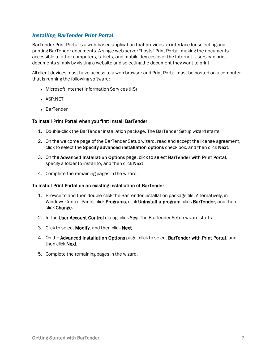## <span id="page-6-0"></span>*Installing BarTender Print Portal*

BarTender Print Portal is a web-based application that provides an interface for selecting and printing BarTender documents. A single web server "hosts" Print Portal, making the documents accessible to other computers, tablets, and mobile devices over the Internet. Users can print documents simply by visiting a website and selecting the document they want to print.

All client devices must have access to a web browser and Print Portal must be hosted on a computer that is running the following software:

- Microsoft Internet Information Services (IIS)
- **.** ASP.NET
- **.** BarTender

### To install Print Portal when you first install BarTender

- 1. Double-click the BarTender installation package. The BarTender Setup wizard starts.
- 2. On the welcome page of the BarTender Setup wizard, read and accept the license agreement, click to select the Specify advanced installation options check box, and then click Next.
- 3. On the Advanced Installation Options page, click to select BarTender with Print Portal, specify a folder to install to, and then click Next.
- 4. Complete the remaining pages in the wizard.

### To install Print Portal on an existing installation of BarTender

- 1. Browse to and then double-click the BarTender installation package file. Alternatively, in Windows Control Panel, click Programs, click Uninstall a program, click BarTender, and then click Change.
- 2. In the User Account Control dialog, click Yes. The BarTender Setup wizard starts.
- 3. Click to select Modify, and then click Next.
- 4. On the Advanced Installation Options page, click to select BarTender with Print Portal, and then click Next.
- 5. Complete the remaining pages in the wizard.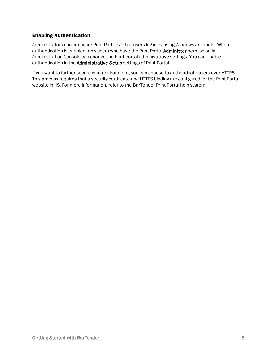## Enabling Authentication

Administrators can configure Print Portal so that users log in by using Windows accounts. When authentication is enabled, only users who have the Print Portal Administer permission in Administration Console can change the Print Portal administrative settings. You can enable authentication in the Administrative Setup settings of Print Portal.

If you want to further secure your environment, you can choose to authenticate users over HTTPS. This process requires that a security certificate and HTTPS binding are configured for the Print Portal website in IIS. For more information, refer to the BarTender Print Portal help system.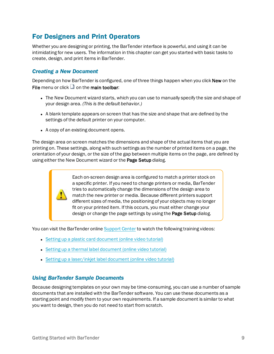# <span id="page-8-0"></span>For Designers and Print Operators

Whether you are designing or printing, the BarTender interface is powerful, and using it can be intimidating for new users. The information in this chapter can get you started with basic tasks to create, design, and print items in BarTender.

# <span id="page-8-1"></span>*Creating a New Document*

Depending on how BarTender is configured, one of three things happen when you click New on the File menu or click  $\Box$  on the main toolbar:

- The New Document wizard starts, which you can use to manually specify the size and shape of your design area. *(This is the default behavior.)*
- A blank template appears on screen that has the size and shape that are defined by the settings of the default printer on your computer.
- A copy of an existing document opens.

The design area on screen matches the dimensions and shape of the actual items that you are printing on. These settings, along with such settings as the number of printed items on a page, the orientation of your design, or the size of the gap between multiple items on the page, are defined by using either the New Document wizard or the Page Setup dialog.

> Each on-screen design area is configured to match a printer stock on a specific printer. If you need to change printers or media, BarTender tries to automatically change the dimensions of the design area to match the new printer or media. Because different printers support different sizes of media, the positioning of your objects may no longer fit on your printed item. If this occurs, you must either change your design or change the page settings by using the Page Setup dialog.

You can visit the BarTender online [Support](https://support.seagullscientific.com/) Center to watch the following training videos:

- Setting up a plastic card [document](https://support.seagullscientific.com/hc/articles/204770588-Setting-up-a-plastic-card-document-Video-4-03-) (online video tutorial)
- Setting up a thermal label [document](https://support.seagullscientific.com/hc/articles/205405617-Setting-up-a-thermal-label-document-Video-4-36-) (online video tutorial)
- Setting up a laser/inkiet label document (online video tutorial)

## <span id="page-8-2"></span>*Using BarTender Sample Documents*

Because designing templates on your own may be time-consuming, you can use a number of sample documents that are installed with the BarTender software. You can use these documents as a starting point and modify them to your own requirements. If a sample document is similar to what you want to design, then you do not need to start from scratch.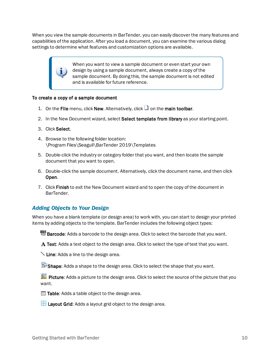When you view the sample documents in BarTender, you can easily discover the many features and capabilities of the application. After you load a document, you can examine the various dialog settings to determine what features and customization options are available.

> When you want to view a sample document or even start your own design by using a sample document, always create a copy of the sample document. By doing this, the sample document is not edited and is available for future reference.

### To create a copy of a sample document

- 1. On the File menu, click New. Alternatively, click  $\Box$  on the main toolbar.
- 2. In the New Document wizard, select Select template from library as your starting point.
- 3. Click Select.
- 4. Browse to the following folder location: \Program Files\Seagull\BarTender 2019\Templates
- 5. Double-click the industry or category folder that you want, and then locate the sample document that you want to open.
- 6. Double-click the sample document. Alternatively, click the document name, and then click Open.
- 7. Click Finish to exit the New Document wizard and to open the copy of the document in BarTender.

# <span id="page-9-0"></span>*Adding Objects to Your Design*

When you have a blank template (or design area) to work with, you can start to design your printed items by adding objects to the template. BarTender includes the following object types:

**HET Barcode:** Adds a barcode to the design area. Click to select the barcode that you want.

A Text: Adds a text object to the design area. Click to select the type of text that you want.

Line: Adds a line to the design area.

Shape: Adds a shape to the design area. Click to select the shape that you want.

Picture: Adds a picture to the design area. Click to select the source of the picture that you want.

 $\blacksquare$  Table: Adds a table object to the design area.

 $\mathbb{H}$  Layout Grid: Adds a layout grid object to the design area.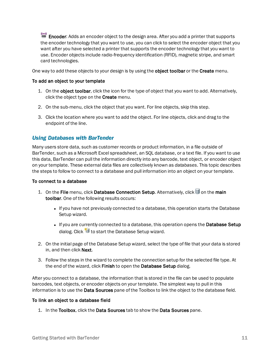Encoder: Adds an encoder object to the design area. After you add a printer that supports the encoder technology that you want to use, you can click to select the encoder object that you want after you have selected a printer that supports the encoder technology that you want to use. Encoder objects include radio-frequency identification (RFID), magnetic stripe, and smart card technologies.

One way to add these objects to your design is by using the **object toolbar** or the Create menu.

#### To add an object to your template

- 1. On the object toolbar, click the icon for the type of object that you want to add. Alternatively, click the object type on the Create menu.
- 2. On the sub-menu, click the object that you want. For line objects, skip this step.
- 3. Click the location where you want to add the object. For line objects, click and drag to the endpoint of the line.

## <span id="page-10-0"></span>*Using Databases with BarTender*

Many users store data, such as customer records or product information, in a file outside of BarTender, such as a Microsoft Excel spreadsheet, an SQL database, or a text file. If you want to use this data, BarTender can pull the information directly into any barcode, text object, or encoder object on your template. These external data files are collectively known as *databases*. This topic describes the steps to follow to connect to a database and pull information into an object on your template.

### To connect to a database

- 1. On the File menu, click Database Connection Setup. Alternatively, click **on the main** toolbar. One of the following results occurs:
	- If you have not previously connected to a database, this operation starts the Database Setup wizard.
	- If you are currently connected to a database, this operation opens the Database Setup dialog. Click  $\mathbb{G}$  to start the Database Setup wizard.
- 2. On the initial page of the Database Setup wizard, select the type of file that your data is stored in, and then click **Next**.
- 3. Follow the steps in the wizard to complete the connection setup for the selected file type. At the end of the wizard, click Finish to open the Database Setup dialog.

After you connect to a database, the information that is stored in the file can be used to populate barcodes, text objects, or encoder objects on your template. The simplest way to pull in this information is to use the Data Sources pane of the Toolbox to link the object to the database field.

### To link an object to a database field

1. In the Toolbox, click the Data Sources tab to show the Data Sources pane.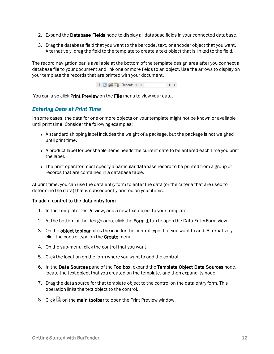- 2. Expand the Database Fields node to display all database fields in your connected database.
- 3. Drag the database field that you want to the barcode, text, or encoder object that you want. Alternatively, drag the field to the template to create a text object that is linked to the field.

The record navigation bar is available at the bottom of the template design area after you connect a database file to your document and link one or more fields to an object. Use the arrows to display on your template the records that are printed with your document.



<span id="page-11-0"></span>You can also click Print Preview on the File menu to view your data.

## *Entering Data at Print Time*

In some cases, the data for one or more objects on your template might not be known or available until print time. Consider the following examples:

- A standard shipping label includes the weight of a package, but the package is not weighed until print time.
- A product label for perishable items needs the current date to be entered each time you print the label.
- The print operator must specify a particular database record to be printed from a group of records that are contained in a database table.

At print time, you can use the data entry form to enter the data (or the criteria that are used to determine the data) that is subsequently printed on your items.

## To add a control to the data entry form

- 1. In the Template Design view, add a new text object to your template.
- 2. At the bottom of the design area, click the Form 1 tab to open the Data Entry Form view.
- 3. On the object toolbar, click the icon for the control type that you want to add. Alternatively, click the control type on the **Create** menu.
- 4. On the sub-menu, click the control that you want.
- 5. Click the location on the form where you want to add the control.
- 6. In the Data Sources pane of the Toolbox, expand the Template Object Data Sources node, locate the text object that you created on the template, and then expand its node.
- 7. Drag the data source for that template object to the control on the data entry form. This operation links the text object to the control.
- 8. Click  $\Box$  on the main toolbar to open the Print Preview window.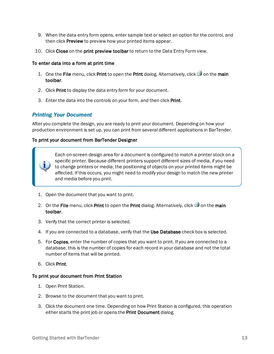- 9. When the data entry form opens, enter sample text or select an option for the control, and then click **Preview** to preview how your printed items appear.
- 10. Click Close on the print preview toolbar to return to the Data Entry Form view.

### To enter data into a form at print time

- 1. One the File menu, click Print to open the Print dialog. Alternatively, click  $\blacksquare$  on the main toolbar.
- 2. Click Print to display the data entry form for your document.
- 3. Enter the data into the controls on your form, and then click Print.

# <span id="page-12-0"></span>*Printing Your Document*

After you complete the design, you are ready to print your document. Depending on how your production environment is set up, you can print from several different applications in BarTender.

### To print your document from BarTender Designer

Each on-screen design area for a document is configured to match a printer stock on a specific printer. Because different printers support different sizes of media, if you need to change printers or media, the positioning of objects on your printed items might be affected. If this occurs, you might need to modify your design to match the new printer and media before you print.

- 1. Open the document that you want to print.
- 2. On the File menu, click Print to open the Print dialog. Alternatively, click  $\Box$  on the main toolbar.
- 3. Verify that the correct printer is selected.
- 4. If you are connected to a database, verify that the Use Database check box is selected.
- 5. For Copies, enter the number of copies that you want to print. If you are connected to a database, this is the number of copies for each record in your database and not the total number of items that will be printed.
- 6. Click Print.

### To print your document from Print Station

- 1. Open Print Station.
- 2. Browse to the document that you want to print.
- 3. Click the document one time. Depending on how Print Station is configured, this operation either starts the print job or opens the Print Document dialog.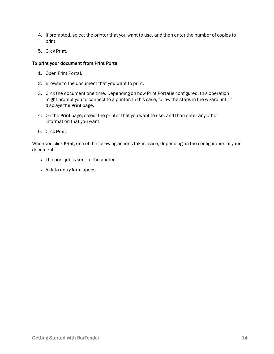- 4. If prompted, select the printer that you want to use, and then enter the number of copies to print.
- 5. Click Print.

### To print your document from Print Portal

- 1. Open Print Portal.
- 2. Browse to the document that you want to print.
- 3. Click the document one time. Depending on how Print Portal is configured, this operation might prompt you to connect to a printer. In this case, follow the steps in the wizard until it displays the Print page.
- 4. On the Print page, select the printer that you want to use, and then enter any other information that you want.
- 5. Click Print.

When you click Print, one of the following actions takes place, depending on the configuration of your document:

- The print job is sent to the printer.
- A data entry form opens.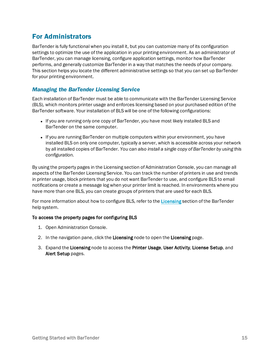# <span id="page-14-0"></span>For Administrators

BarTender is fully functional when you install it, but you can customize many of its configuration settings to optimize the use of the application in your printing environment. As an administrator of BarTender, you can manage licensing, configure application settings, monitor how BarTender performs, and generally customize BarTender in a way that matches the needs of your company. This section helps you locate the different administrative settings so that you can set up BarTender for your printing environment.

# <span id="page-14-1"></span>*Managing the BarTender Licensing Service*

Each installation of BarTender must be able to communicate with the BarTender Licensing Service (BLS), which monitors printer usage and enforces licensing based on your purchased edition of the BarTender software. Your installation of BLS will be one of the following configurations:

- If you are running only one copy of BarTender, you have most likely installed BLS and BarTender on the same computer.
- If you are running BarTender on multiple computers within your environment, you have installed BLS on only one computer, typically a server, which is accessible across your network by all installed copies of BarTender. *You can also install a single copy of BarTender by using this configuration.*

By using the property pages in the Licensing section of Administration Console, you can manage all aspects of the BarTender Licensing Service. You can track the number of printers in use and trends in printer usage, block printers that you do not want BarTender to use, and configure BLS to email notifications or create a message log when your printer limit is reached. In environments where you have more than one BLS, you can create groups of printers that are used for each BLS.

For more information about how to configure BLS, refer to the [Licensing](http://help.seagullscientific.com/#../Subsystems/AdminConsole/Content/Licensing_LP.htm) section of the BarTender help system.

## To access the property pages for configuring BLS

- 1. Open Administration Console.
- 2. In the navigation pane, click the Licensing node to open the Licensing page.
- 3. Expand the Licensing node to access the Printer Usage, User Activity, License Setup, and Alert Setup pages.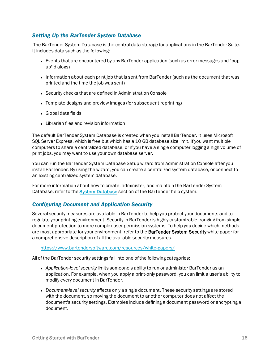# <span id="page-15-0"></span>*Setting Up the BarTender System Database*

The BarTender System Database is the central data storage for applications in the BarTender Suite. It includes data such as the following:

- Events that are encountered by any BarTender application (such as error messages and "popup" dialogs)
- Information about each print job that is sent from BarTender (such as the document that was printed and the time the job was sent)
- Security checks that are defined in Administration Console
- Template designs and preview images (for subsequent reprinting)
- Global data fields
- Librarian files and revision information

The default BarTender System Database is created when you install BarTender. It uses Microsoft SQL Server Express, which is free but which has a 10 GB database size limit. If you want multiple computers to share a centralized database, or if you have a single computer logging a high volume of print jobs, you may want to use your own database server.

You can run the BarTender System Database Setup wizard from Administration Console after you install BarTender. By using the wizard, you can create a centralized system database, or connect to an existing centralized system database.

For more information about how to create, administer, and maintain the BarTender System [Database](http://help.seagullscientific.com/#../Subsystems/AdminConsole/Content/Sys_Database_LP.html), refer to the **System Database** section of the BarTender help system.

## <span id="page-15-1"></span>*Configuring Document and Application Security*

Several security measures are available in BarTender to help you protect your documents and to regulate your printing environment. Security in BarTender is highly customizable, ranging from simple document protection to more complex user permission systems. To help you decide which methods are most appropriate for your environment, refer to the **BarTender System Security** white paper for a comprehensive description of all the available security measures.

<https://www.bartendersoftware.com/resources/white-papers/>

All of the BarTender security settings fall into one of the following categories:

- <sup>l</sup> *Application-level security* limits someone's ability to run or administer BarTender as an application. For example, when you apply a print-only password, you can limit a user's ability to modify every document in BarTender.
- <sup>l</sup> *Document-level security* affects only a single document. These security settings are stored with the document, so moving the document to another computer does not affect the document's security settings. Examples include defining a document password or encrypting a document.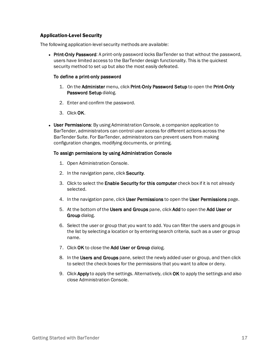## Application-Level Security

The following application-level security methods are available:

• Print-Only Password: A print-only password locks BarTender so that without the password, users have limited access to the BarTender design functionality. This is the quickest security method to set up but also the most easily defeated.

### To define a print-only password

- 1. On the Administer menu, click Print-Only Password Setup to open the Print-Only Password Setup dialog.
- 2. Enter and confirm the password.
- 3. Click OK.
- User Permissions: By using Administration Console, a companion application to BarTender, administrators can control user access for different actions across the BarTender Suite. For BarTender, administrators can prevent users from making configuration changes, modifying documents, or printing.

### To assign permissions by using Administration Console

- 1. Open Administration Console.
- 2. In the navigation pane, click **Security**.
- 3. Click to select the Enable Security for this computer check box if it is not already selected.
- 4. In the navigation pane, click User Permissions to open the User Permissions page.
- 5. At the bottom of the Users and Groups pane, click Add to open the Add User or Group dialog.
- 6. Select the user or group that you want to add. You can filter the users and groups in the list by selecting a location or by entering search criteria, such as a user or group name.
- 7. Click OK to close the Add User or Group dialog.
- 8. In the Users and Groups pane, select the newly added user or group, and then click to select the check boxes for the permissions that you want to allow or deny.
- 9. Click Apply to apply the settings. Alternatively, click OK to apply the settings and also close Administration Console.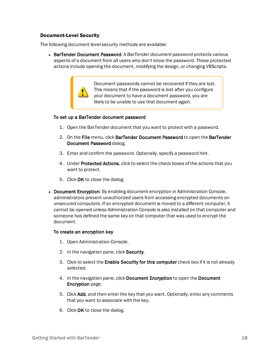## Document-Level Security

The following document-level security methods are available:

<sup>l</sup> BarTender Document Password: A *BarTender document password* protects various aspects of a document from all users who don't know the password. These protected actions include opening the document, modifying the design, or changing VBScripts.

> Document passwords cannot be recovered if they are lost. This means that if the password is lost after you configure your document to have a document password, you are likely to be unable to use that document again.

### To set up a BarTender document password

- 1. Open the BarTender document that you want to protect with a password.
- 2. On the File menu, click BarTender Document Password to open the BarTender Document Password dialog.
- 3. Enter and confirm the password. Optionally, specify a password hint.
- 4. Under Protected Actions, click to select the check boxes of the actions that you want to protect.
- 5. Click OK to close the dialog.
- Document Encryption: By enabling document encryption in Administration Console, administrators prevent unauthorized users from accessing encrypted documents on unsecured computers. If an encrypted document is moved to a different computer, it cannot be opened unless Administration Console is also installed on that computer and someone has defined the same key on that computer that was used to encrypt the document.

### To create an encryption key

- 1. Open Administration Console.
- 2. In the navigation pane, click Security.
- 3. Click to select the **Enable Security for this computer** check box if it is not already selected.
- 4. In the navigation pane, click Document Encryption to open the Document Encryption page.
- 5. Click Add, and then enter the key that you want. Optionally, enter any comments that you want to associate with the key.
- 6. Click OK to close the dialog.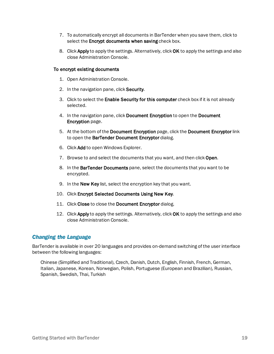- 7. To automatically encrypt all documents in BarTender when you save them, click to select the Encrypt documents when saving check box.
- 8. Click Apply to apply the settings. Alternatively, click OK to apply the settings and also close Administration Console.

### To encrypt existing documents

- 1. Open Administration Console.
- 2. In the navigation pane, click Security.
- 3. Click to select the Enable Security for this computer check box if it is not already selected.
- 4. In the navigation pane, click Document Encryption to open the Document Encryption page.
- 5. At the bottom of the Document Encryption page, click the Document Encryptor link to open the BarTender Document Encryptor dialog.
- 6. Click Add to open Windows Explorer.
- 7. Browse to and select the documents that you want, and then click Open.
- 8. In the BarTender Documents pane, select the documents that you want to be encrypted.
- 9. In the New Key list, select the encryption key that you want.
- 10. Click Encrypt Selected Documents Using New Key.
- 11. Click Close to close the Document Encryptor dialog.
- 12. Click Apply to apply the settings. Alternatively, click OK to apply the settings and also close Administration Console.

## <span id="page-18-0"></span>*Changing the Language*

BarTender is available in over 20 languages and provides on-demand switching of the user interface between the following languages:

Chinese (Simplified and Traditional), Czech, Danish, Dutch, English, Finnish, French, German, Italian, Japanese, Korean, Norwegian, Polish, Portuguese (European and Brazilian), Russian, Spanish, Swedish, Thai, Turkish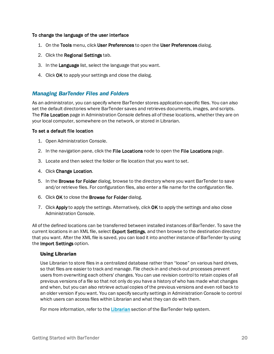### To change the language of the user interface

- 1. On the Tools menu, click User Preferences to open the User Preferences dialog.
- 2. Click the Regional Settings tab.
- 3. In the Language list, select the language that you want.
- 4. Click OK to apply your settings and close the dialog.

## <span id="page-19-0"></span>*Managing BarTender Files and Folders*

As an administrator, you can specify where BarTender stores application-specific files. You can also set the default directories where BarTender saves and retrieves documents, images, and scripts. The File Location page in Administration Console defines all of these locations, whether they are on your local computer, somewhere on the network, or stored in Librarian.

### To set a default file location

- 1. Open Administration Console.
- 2. In the navigation pane, click the File Locations node to open the File Locations page.
- 3. Locate and then select the folder or file location that you want to set.
- 4. Click Change Location.
- 5. In the Browse for Folder dialog, browse to the directory where you want BarTender to save and/or retrieve files. For configuration files, also enter a file name for the configuration file.
- 6. Click OK to close the Browse for Folder dialog.
- 7. Click Apply to apply the settings. Alternatively, click OK to apply the settings and also close Administration Console.

All of the defined locations can be transferred between installed instances of BarTender. To save the current locations in an XML file, select **Export Settings**, and then browse to the destination directory that you want. After the XML file is saved, you can load it into another instance of BarTender by using the Import Settings option.

## Using Librarian

Use Librarian to store files in a centralized database rather than "loose" on various hard drives, so that files are easier to track and manage. File check-in and check-out processes prevent users from overwriting each others' changes. You can use revision control to retain copies of all previous versions of a file so that not only do you have a history of who has made what changes and when, but you can also retrieve actual copies of the previous versions and even roll back to an older version if you want. You can specify security settings in Administration Console to control which users can access files within Librarian and what they can do with them.

For more information, refer to the [Librarian](http://help.seagullscientific.com/#../Subsystems/Librarian/Content/LibrarianOverview.html) section of the BarTender help system.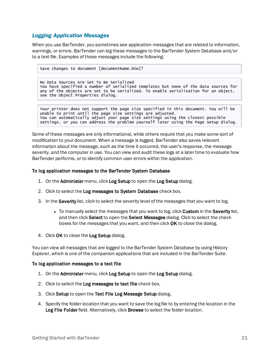## <span id="page-20-0"></span>*Logging Application Messages*

When you use BarTender, you sometimes see application messages that are related to information, warnings, or errors. BarTender can log these messages to the BarTender System Database and/or to a text file. Examples of these messages include the following:

Save changes to document [documentName.btw]?

No Data Sources Are Set To Be Serialized You have specified a number of serialized templates but none of the data sources for any of the objects are set to be serialized. To enable serialization for an object, see the Object Properties dialog.

Your printer does not support the page size specified in this document. You will be unable to print until the page size settings are adjusted. You can automatically adjust your page size settings using the closest possible settings, or you can address the problem yourself later using the Page Setup dialog.

Some of these messages are only informational, while others require that you make some sort of modification to your document. When a message is logged, BarTender also saves relevant information about the message, such as the time it occurred, the user's response, the message severity, and the computer in use. You can view and audit these logs at a later time to evaluate how BarTender performs, or to identify common user errors within the application.

### To log application messages to the BarTender System Database

- 1. On the Administer menu, click Log Setup to open the Log Setup dialog.
- 2. Click to select the Log messages to System Database check box.
- 3. In the Severity list, click to select the severity level of the messages that you want to log.
	- To manually select the messages that you want to log, click Custom in the Severity list, and then click Select to open the Select Messages dialog. Click to select the check boxes for the messages that you want, and then click OK to close the dialog.
- 4. Click OK to close the Log Setup dialog.

You can view all messages that are logged to the BarTender System Database by using History Explorer, which is one of the companion applications that are included in the BarTender Suite.

### To log application messages to a text file

- 1. On the Administer menu, click Log Setup to open the Log Setup dialog.
- 2. Click to select the Log messages to text file check box.
- 3. Click Setup to open the Text File Log Message Setup dialog.
- 4. Specify the folder location that you want to save the log file to by entering the location in the Log File Folder field. Alternatively, click Browse to select the folder location.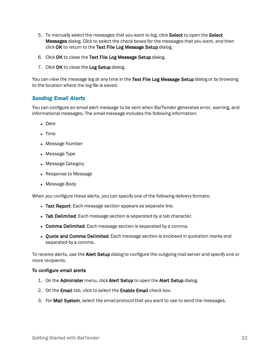- 5. To manually select the messages that you want to log, click Select to open the Select **Messages** dialog. Click to select the check boxes for the messages that you want, and then click OK to return to the Text File Log Message Setup dialog.
- 6. Click OK to close the Text File Log Message Setup dialog.
- 7. Click OK to close the Log Setup dialog.

You can view the message log at any time in the Text File Log Message Setup dialog or by browsing to the location where the log file is saved.

# <span id="page-21-0"></span>*Sending Email Alerts*

You can configure an email alert message to be sent when BarTender generates error, warning, and informational messages. The email message includes the following information:

- Date
- $\bullet$  Time
- Message Number
- Message Type
- Message Category
- Response to Message
- Message Body

When you configure these alerts, you can specify one of the following delivery formats:

- Text Report: Each message section appears as separate line.
- Tab Delimited: Each message section is separated by a tab character.
- Comma Delimited: Each message section is separated by a comma.
- Quote and Comma Delimited: Each message section is enclosed in quotation marks and separated by a comma.

To receive alerts, use the Alert Setup dialog to configure the outgoing mail server and specify one or more recipients.

### To configure email alerts

- 1. On the Administer menu, click Alert Setup to open the Alert Setup dialog.
- 2. On the Email tab, click to select the Enable Email check box.
- 3. For Mail System, select the email protocol that you want to use to send the messages.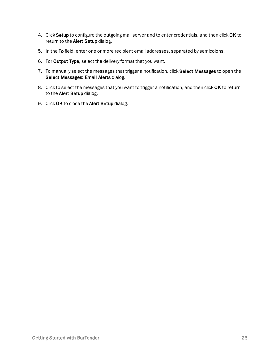- 4. Click Setup to configure the outgoing mail server and to enter credentials, and then click OK to return to the Alert Setup dialog.
- 5. In the To field, enter one or more recipient email addresses, separated by semicolons.
- 6. For Output Type, select the delivery format that you want.
- 7. To manually select the messages that trigger a notification, click Select Messages to open the Select Messages: Email Alerts dialog.
- 8. Click to select the messages that you want to trigger a notification, and then click OK to return to the Alert Setup dialog.
- 9. Click OK to close the Alert Setup dialog.